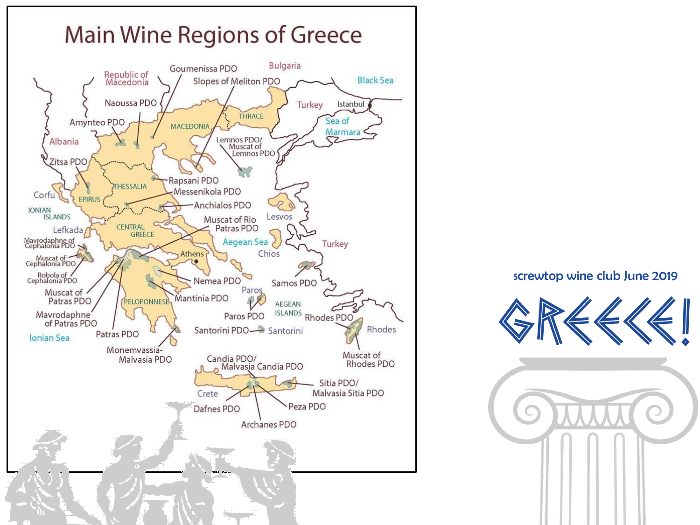

screwtop wine club June 2019